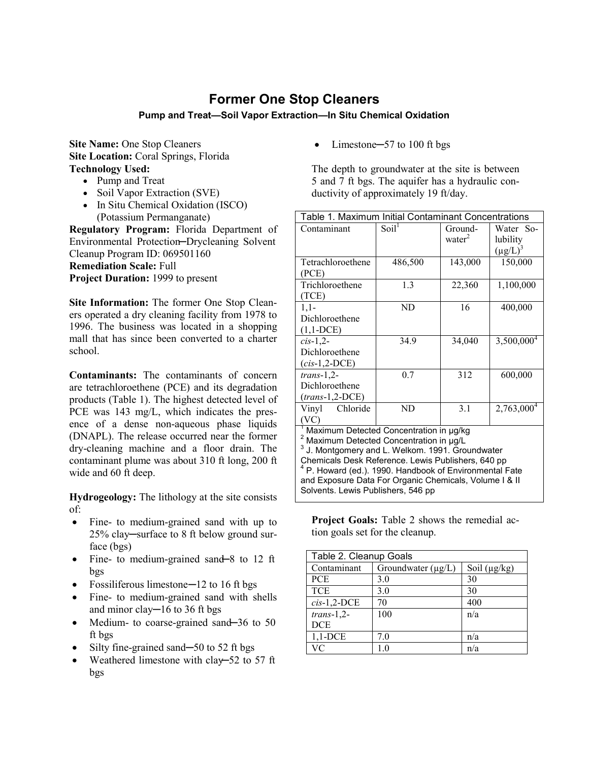## **Former One Stop Cleaners**

## **Pump and Treat—Soil Vapor Extraction—In Situ Chemical Oxidation**

**Site Name:** One Stop Cleaners **Site Location: Coral Springs, Florida Technology Used:**

- Pump and Treat
- Soil Vapor Extraction (SVE)
- In Situ Chemical Oxidation (ISCO) (Potassium Permanganate)

**Regulatory Program:** Florida Department of Environmental Protection─Drycleaning Solvent Cleanup Program ID: 069501160 **Remediation Scale:** Full **Project Duration:** 1999 to present

**Site Information:** The former One Stop Cleaners operated a dry cleaning facility from 1978 to 1996. The business was located in a shopping mall that has since been converted to a charter school.

**Contaminants:** The contaminants of concern are tetrachloroethene (PCE) and its degradation products (Table 1). The highest detected level of PCE was 143 mg/L, which indicates the presence of a dense non-aqueous phase liquids (DNAPL). The release occurred near the former dry-cleaning machine and a floor drain. The contaminant plume was about 310 ft long, 200 ft wide and 60 ft deep.

**Hydrogeology:** The lithology at the site consists of:

- Fine- to medium-grained sand with up to 25% clay─surface to 8 ft below ground surface (bgs)
- Fine- to medium-grained sand—8 to 12 ft bgs
- Fossiliferous limestone—12 to 16 ft bgs
- Fine- to medium-grained sand with shells and minor clay─16 to 36 ft bgs
- Medium- to coarse-grained sand—36 to 50 ft bgs
- Silty fine-grained sand—50 to 52 ft bgs
- Weathered limestone with clay–52 to 57 ft bgs

Limestone–57 to 100 ft bgs

The depth to groundwater at the site is between 5 and 7 ft bgs. The aquifer has a hydraulic conductivity of approximately 19 ft/day.

| Table 1. Maximum Initial Contaminant Concentrations                                                         |                   |                    |                        |  |
|-------------------------------------------------------------------------------------------------------------|-------------------|--------------------|------------------------|--|
| Contaminant                                                                                                 | Soil <sup>1</sup> | Ground-            | Water So-              |  |
|                                                                                                             |                   | water <sup>2</sup> | lubility               |  |
|                                                                                                             |                   |                    | $(\mu g/L)^3$          |  |
| Tetrachloroethene                                                                                           | 486,500           | 143,000            | 150,000                |  |
| (PCE)                                                                                                       |                   |                    |                        |  |
| Trichloroethene                                                                                             | 1.3               | 22,360             | 1,100,000              |  |
| (TCE)                                                                                                       |                   |                    |                        |  |
| $1,1-$                                                                                                      | ND                | 16                 | 400,000                |  |
| Dichloroethene                                                                                              |                   |                    |                        |  |
| $(1,1-DCE)$                                                                                                 |                   |                    |                        |  |
| $cis-1,2$                                                                                                   | 34.9              | 34,040             | 3,500,000 <sup>4</sup> |  |
| Dichloroethene                                                                                              |                   |                    |                        |  |
| $(cis-1,2-DCE)$                                                                                             |                   |                    |                        |  |
| $trans-1,2-$                                                                                                | 0.7               | 312                | 600,000                |  |
| Dichloroethene                                                                                              |                   |                    |                        |  |
| $(trans-1, 2-DCE)$                                                                                          |                   |                    |                        |  |
| Chloride<br>Vinyl                                                                                           | ND                | 3.1                | 2,763,000 <sup>4</sup> |  |
| (VC)                                                                                                        |                   |                    |                        |  |
| <sup>1</sup> Maximum Detected Concentration in µg/kg                                                        |                   |                    |                        |  |
| <sup>2</sup> Maximum Detected Concentration in µg/L                                                         |                   |                    |                        |  |
| J. Montgomery and L. Welkom. 1991. Groundwater                                                              |                   |                    |                        |  |
| Chemicals Desk Reference. Lewis Publishers, 640 pp<br>P. Howard (ed.). 1990. Handbook of Environmental Fate |                   |                    |                        |  |
| and Exposure Data For Organic Chemicals, Volume I & II                                                      |                   |                    |                        |  |
| Solvents. Lewis Publishers, 546 pp                                                                          |                   |                    |                        |  |

**Project Goals:** Table 2 shows the remedial action goals set for the cleanup.

| Table 2. Cleanup Goals |                    |                   |  |
|------------------------|--------------------|-------------------|--|
| Contaminant            | Groundwater (µg/L) | Soil $(\mu g/kg)$ |  |
| <b>PCE</b>             | 3.0                | 30                |  |
| <b>TCE</b>             | 3.0                | 30                |  |
| $cis-1,2-DCE$          | 70                 | 400               |  |
| $trans-1,2-$           | 100                | n/a               |  |
| DCE                    |                    |                   |  |
| $1,1$ -DCE             | 7.0                | n/a               |  |
| VС                     | 10                 | n/a               |  |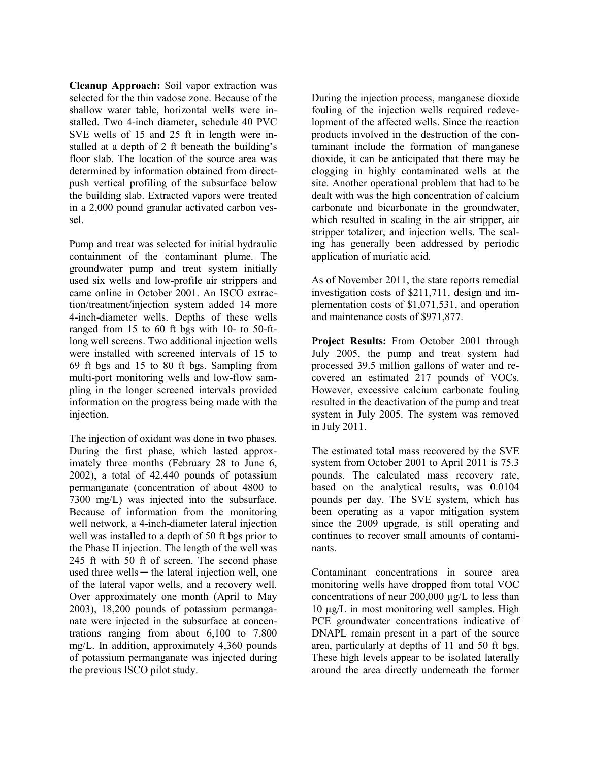**Cleanup Approach:** Soil vapor extraction was selected for the thin vadose zone. Because of the shallow water table, horizontal wells were installed. Two 4-inch diameter, schedule 40 PVC SVE wells of 15 and 25 ft in length were installed at a depth of 2 ft beneath the building's floor slab. The location of the source area was determined by information obtained from directpush vertical profiling of the subsurface below the building slab. Extracted vapors were treated in a 2,000 pound granular activated carbon vessel.

Pump and treat was selected for initial hydraulic containment of the contaminant plume. The groundwater pump and treat system initially used six wells and low-profile air strippers and came online in October 2001. An ISCO extraction/treatment/injection system added 14 more 4-inch-diameter wells. Depths of these wells ranged from 15 to 60 ft bgs with 10- to 50-ftlong well screens. Two additional injection wells were installed with screened intervals of 15 to 69 ft bgs and 15 to 80 ft bgs. Sampling from multi-port monitoring wells and low-flow sampling in the longer screened intervals provided information on the progress being made with the injection.

The injection of oxidant was done in two phases. During the first phase, which lasted approximately three months (February 28 to June 6, 2002), a total of 42,440 pounds of potassium permanganate (concentration of about 4800 to 7300 mg/L) was injected into the subsurface. Because of information from the monitoring well network, a 4-inch-diameter lateral injection well was installed to a depth of 50 ft bgs prior to the Phase II injection. The length of the well was 245 ft with 50 ft of screen. The second phase used three wells — the lateral injection well, one of the lateral vapor wells, and a recovery well. Over approximately one month (April to May 2003), 18,200 pounds of potassium permanganate were injected in the subsurface at concentrations ranging from about 6,100 to 7,800 mg/L. In addition, approximately 4,360 pounds of potassium permanganate was injected during the previous ISCO pilot study.

During the injection process, manganese dioxide fouling of the injection wells required redevelopment of the affected wells. Since the reaction products involved in the destruction of the contaminant include the formation of manganese dioxide, it can be anticipated that there may be clogging in highly contaminated wells at the site. Another operational problem that had to be dealt with was the high concentration of calcium carbonate and bicarbonate in the groundwater, which resulted in scaling in the air stripper, air stripper totalizer, and injection wells. The scaling has generally been addressed by periodic application of muriatic acid.

As of November 2011, the state reports remedial investigation costs of \$211,711, design and implementation costs of \$1,071,531, and operation and maintenance costs of \$971,877.

**Project Results:** From October 2001 through July 2005, the pump and treat system had processed 39.5 million gallons of water and recovered an estimated 217 pounds of VOCs. However, excessive calcium carbonate fouling resulted in the deactivation of the pump and treat system in July 2005. The system was removed in July 2011.

The estimated total mass recovered by the SVE system from October 2001 to April 2011 is 75.3 pounds. The calculated mass recovery rate, based on the analytical results, was 0.0104 pounds per day. The SVE system, which has been operating as a vapor mitigation system since the 2009 upgrade, is still operating and continues to recover small amounts of contaminants.

Contaminant concentrations in source area monitoring wells have dropped from total VOC concentrations of near  $200,000 \mu g/L$  to less than 10 µg/L in most monitoring well samples. High PCE groundwater concentrations indicative of DNAPL remain present in a part of the source area, particularly at depths of 11 and 50 ft bgs. These high levels appear to be isolated laterally around the area directly underneath the former